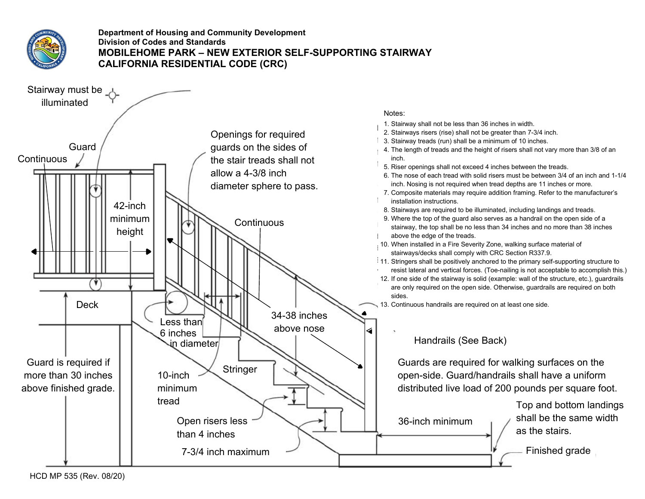

### **Department of Housing and Community Development Division of Codes and Standards MOBILEHOME PARK – NEW EXTERIOR SELF-SUPPORTING STAIRWAY CALIFORNIA RESIDENTIAL CODE (CRC)**



- 1. Stairway shall not be less than 36 inches in width.
- 2. Stairways risers (rise) shall not be greater than 7-3/4 inch.
- 1 3. Stairway treads (run) shall be a minimum of 10 inches.
- 4. The length of treads and the height of risers shall not vary more than 3/8 of an
- 5. Riser openings shall not exceed 4 inches between the treads.
- 6. The nose of each tread with solid risers must be between 3/4 of an inch and 1-1/4 inch. Nosing is not required when tread depths are 11 inches or more.
- 7. Composite materials may require addition framing. Refer to the manufacturer's
- 8. Stairways are required to be illuminated, including landings and treads.
- 9. Where the top of the guard also serves as a handrail on the open side of a stairway, the top shall be no less than 34 inches and no more than 38 inches
- 10. When installed in a Fire Severity Zone, walking surface material of stairways/decks shall comply with CRC Section R337.9.
- 11. Stringers shall be positively anchored to the primary self-supporting structure to resist lateral and vertical forces. (Toe-nailing is not acceptable to accomplish this.)
- 12. If one side of the stairway is solid (example: wall of the structure, etc.), guardrails are only required on the open side. Otherwise, guardrails are required on both

13. Continuous handrails are required on at least one side.

### Handrails (See Back)

Guards are required for walking surfaces on the open-side. Guard/handrails shall have a uniform distributed live load of 200 pounds per square foot.

> Top and bottom landings shall be the same width as the stairs.

Finished grade